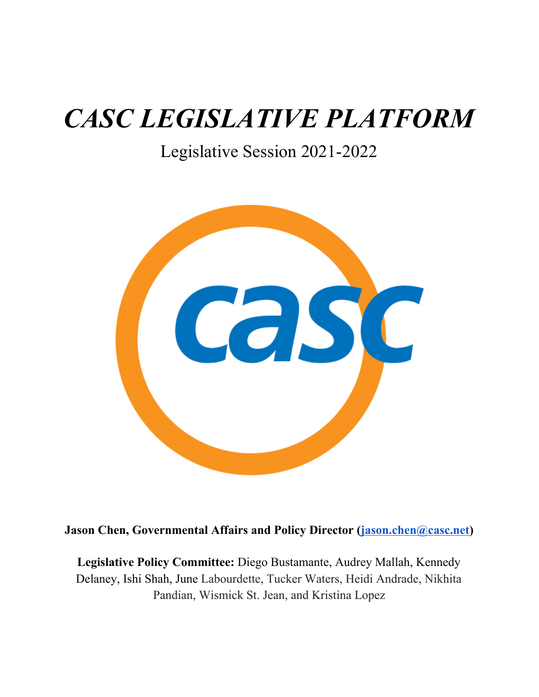# *CASC LEGISLATIVE PLATFORM*

Legislative Session 2021-2022



**Jason Chen, Governmental Affairs and Policy Director [\(jason.chen@casc.net](mailto:jason.chen@casc.net))**

**Legislative Policy Committee:** Diego Bustamante, Audrey Mallah, Kennedy Delaney, Ishi Shah, June Labourdette, Tucker Waters, Heidi Andrade, Nikhita Pandian, Wismick St. Jean, and Kristina Lopez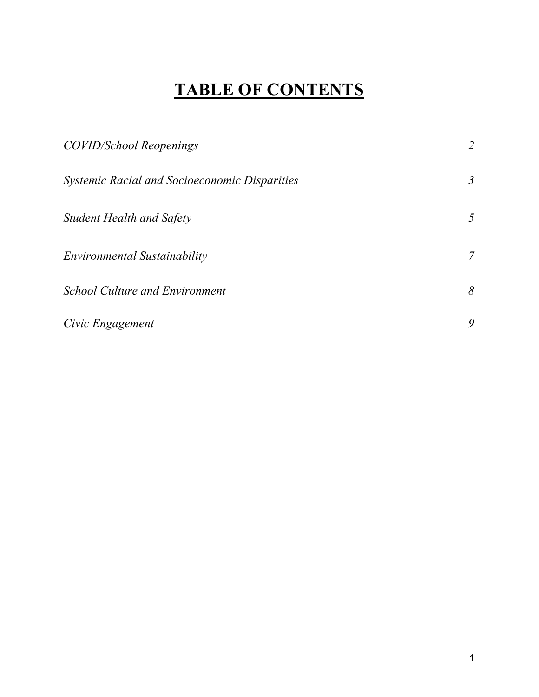## **TABLE OF CONTENTS**

| <b>COVID/School Reopenings</b>                | 2              |
|-----------------------------------------------|----------------|
| Systemic Racial and Socioeconomic Disparities | $\mathfrak{Z}$ |
| <b>Student Health and Safety</b>              | 5              |
| Environmental Sustainability                  | $\overline{7}$ |
| <b>School Culture and Environment</b>         | 8              |
| Civic Engagement                              | 9              |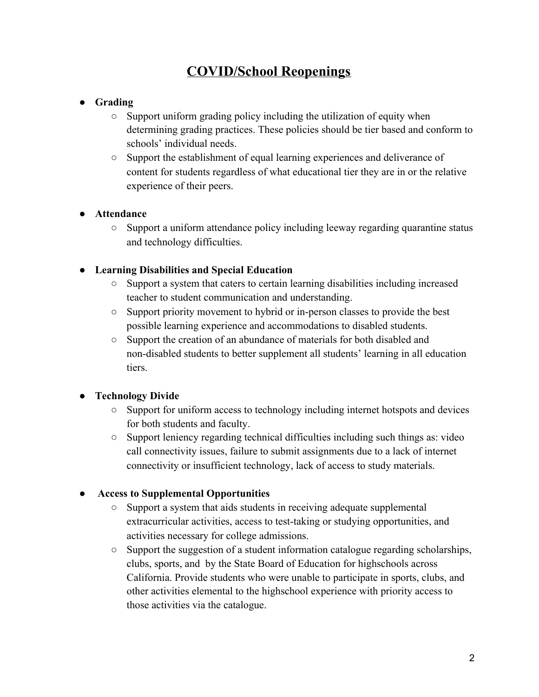## **COVID/School Reopenings**

#### **● Grading**

- Support uniform grading policy including the utilization of equity when determining grading practices. These policies should be tier based and conform to schools' individual needs.
- Support the establishment of equal learning experiences and deliverance of content for students regardless of what educational tier they are in or the relative experience of their peers.

#### **● Attendance**

○ Support a uniform attendance policy including leeway regarding quarantine status and technology difficulties.

#### **● Learning Disabilities and Special Education**

- Support a system that caters to certain learning disabilities including increased teacher to student communication and understanding.
- Support priority movement to hybrid or in-person classes to provide the best possible learning experience and accommodations to disabled students.
- Support the creation of an abundance of materials for both disabled and non-disabled students to better supplement all students' learning in all education tiers.

#### **● Technology Divide**

- Support for uniform access to technology including internet hotspots and devices for both students and faculty.
- Support leniency regarding technical difficulties including such things as: video call connectivity issues, failure to submit assignments due to a lack of internet connectivity or insufficient technology, lack of access to study materials.

#### ● **Access to Supplemental Opportunities**

- Support a system that aids students in receiving adequate supplemental extracurricular activities, access to test-taking or studying opportunities, and activities necessary for college admissions.
- Support the suggestion of a student information catalogue regarding scholarships, clubs, sports, and by the State Board of Education for highschools across California. Provide students who were unable to participate in sports, clubs, and other activities elemental to the highschool experience with priority access to those activities via the catalogue.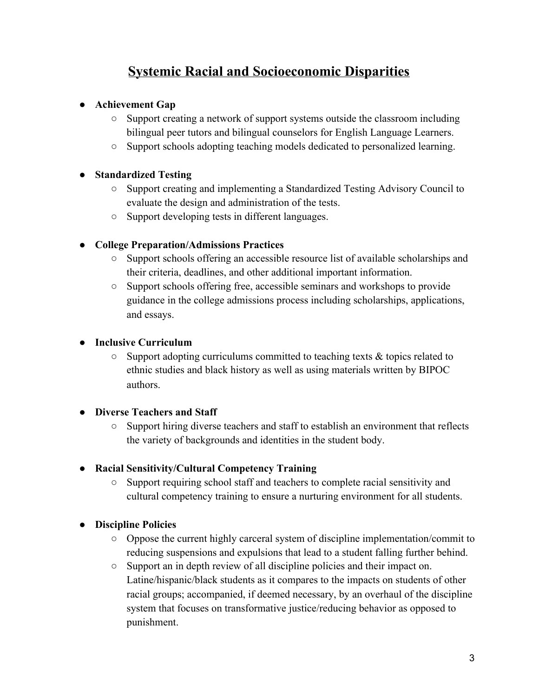### **Systemic Racial and Socioeconomic Disparities**

#### **● Achievement Gap**

- Support creating a network of support systems outside the classroom including bilingual peer tutors and bilingual counselors for English Language Learners.
- Support schools adopting teaching models dedicated to personalized learning.

#### **● Standardized Testing**

- Support creating and implementing a Standardized Testing Advisory Council to evaluate the design and administration of the tests.
- Support developing tests in different languages.

#### **● College Preparation/Admissions Practices**

- Support schools offering an accessible resource list of available scholarships and their criteria, deadlines, and other additional important information.
- Support schools offering free, accessible seminars and workshops to provide guidance in the college admissions process including scholarships, applications, and essays.

#### **● Inclusive Curriculum**

 $\circ$  Support adopting curriculums committed to teaching texts & topics related to ethnic studies and black history as well as using materials written by BIPOC authors.

#### **● Diverse Teachers and Staff**

○ Support hiring diverse teachers and staff to establish an environment that reflects the variety of backgrounds and identities in the student body.

#### **● Racial Sensitivity/Cultural Competency Training**

○ Support requiring school staff and teachers to complete racial sensitivity and cultural competency training to ensure a nurturing environment for all students.

#### **● Discipline Policies**

- Oppose the current highly carceral system of discipline implementation/commit to reducing suspensions and expulsions that lead to a student falling further behind.
- Support an in depth review of all discipline policies and their impact on. Latine/hispanic/black students as it compares to the impacts on students of other racial groups; accompanied, if deemed necessary, by an overhaul of the discipline system that focuses on transformative justice/reducing behavior as opposed to punishment.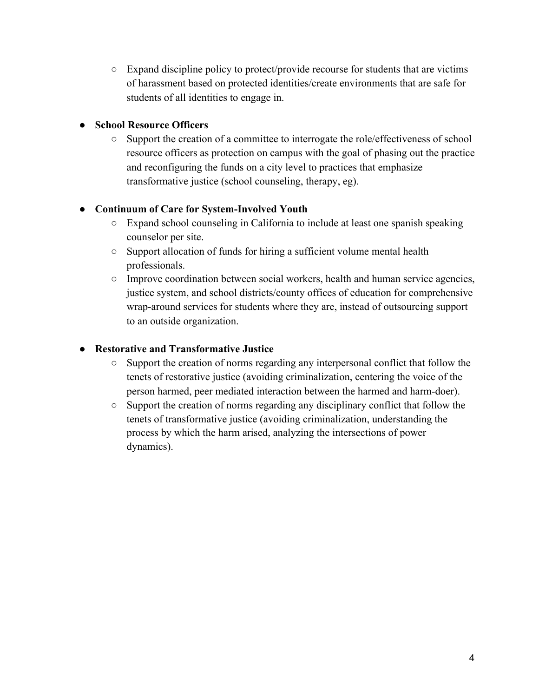$\circ$  Expand discipline policy to protect/provide recourse for students that are victims of harassment based on protected identities/create environments that are safe for students of all identities to engage in.

#### **● School Resource Officers**

○ Support the creation of a committee to interrogate the role/effectiveness of school resource officers as protection on campus with the goal of phasing out the practice and reconfiguring the funds on a city level to practices that emphasize transformative justice (school counseling, therapy, eg).

#### **● Continuum of Care for System-Involved Youth**

- Expand school counseling in California to include at least one spanish speaking counselor per site.
- Support allocation of funds for hiring a sufficient volume mental health professionals.
- Improve coordination between social workers, health and human service agencies, justice system, and school districts/county offices of education for comprehensive wrap-around services for students where they are, instead of outsourcing support to an outside organization.

#### **● Restorative and Transformative Justice**

- Support the creation of norms regarding any interpersonal conflict that follow the tenets of restorative justice (avoiding criminalization, centering the voice of the person harmed, peer mediated interaction between the harmed and harm-doer).
- Support the creation of norms regarding any disciplinary conflict that follow the tenets of transformative justice (avoiding criminalization, understanding the process by which the harm arised, analyzing the intersections of power dynamics).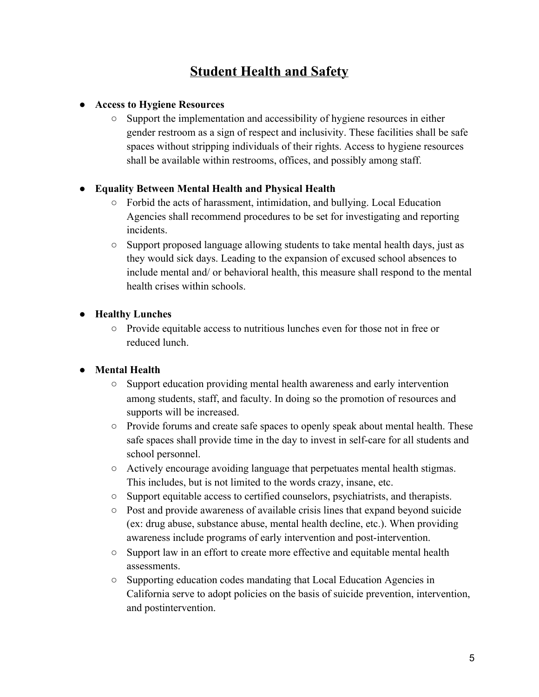## **Student Health and Safety**

#### **● Access to Hygiene Resources**

○ Support the implementation and accessibility of hygiene resources in either gender restroom as a sign of respect and inclusivity. These facilities shall be safe spaces without stripping individuals of their rights. Access to hygiene resources shall be available within restrooms, offices, and possibly among staff.

#### **● Equality Between Mental Health and Physical Health**

- Forbid the acts of harassment, intimidation, and bullying. Local Education Agencies shall recommend procedures to be set for investigating and reporting incidents.
- Support proposed language allowing students to take mental health days, just as they would sick days. Leading to the expansion of excused school absences to include mental and/ or behavioral health, this measure shall respond to the mental health crises within schools.

#### **● Healthy Lunches**

○ Provide equitable access to nutritious lunches even for those not in free or reduced lunch.

#### **● Mental Health**

- Support education providing mental health awareness and early intervention among students, staff, and faculty. In doing so the promotion of resources and supports will be increased.
- Provide forums and create safe spaces to openly speak about mental health. These safe spaces shall provide time in the day to invest in self-care for all students and school personnel.
- Actively encourage avoiding language that perpetuates mental health stigmas. This includes, but is not limited to the words crazy, insane, etc.
- Support equitable access to certified counselors, psychiatrists, and therapists.
- Post and provide awareness of available crisis lines that expand beyond suicide (ex: drug abuse, substance abuse, mental health decline, etc.). When providing awareness include programs of early intervention and post-intervention.
- Support law in an effort to create more effective and equitable mental health assessments.
- Supporting education codes mandating that Local Education Agencies in California serve to adopt policies on the basis of suicide prevention, intervention, and postintervention.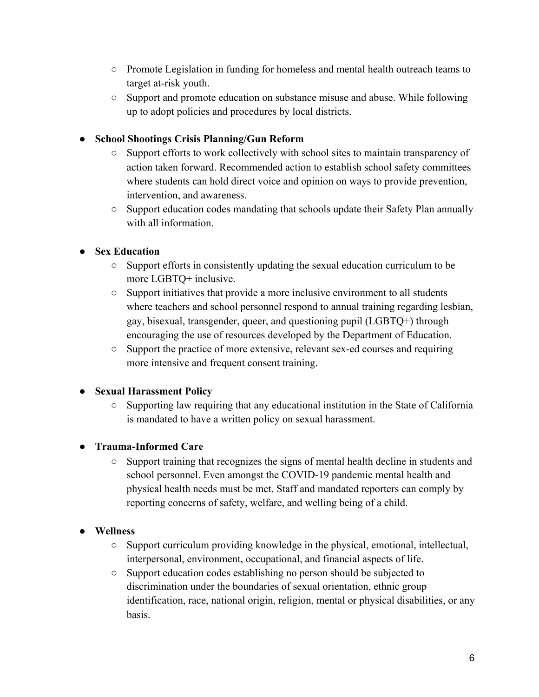- Promote Legislation in funding for homeless and mental health outreach teams to target at-risk youth.
- Support and promote education on substance misuse and abuse. While following up to adopt policies and procedures by local districts.

#### **● School Shootings Crisis Planning/Gun Reform**

- Support efforts to work collectively with school sites to maintain transparency of action taken forward. Recommended action to establish school safety committees where students can hold direct voice and opinion on ways to provide prevention, intervention, and awareness.
- Support education codes mandating that schools update their Safety Plan annually with all information.

#### **● Sex Education**

- Support efforts in consistently updating the sexual education curriculum to be more LGBTQ+ inclusive.
- $\circ$  Support initiatives that provide a more inclusive environment to all students where teachers and school personnel respond to annual training regarding lesbian, gay, bisexual, transgender, queer, and questioning pupil (LGBTQ+) through encouraging the use of resources developed by the Department of Education.
- Support the practice of more extensive, relevant sex-ed courses and requiring more intensive and frequent consent training.

#### **● Sexual Harassment Policy**

 $\circ$  Supporting law requiring that any educational institution in the State of California is mandated to have a written policy on sexual harassment.

#### **● Trauma-Informed Care**

○ Support training that recognizes the signs of mental health decline in students and school personnel. Even amongst the COVID-19 pandemic mental health and physical health needs must be met. Staff and mandated reporters can comply by reporting concerns of safety, welfare, and welling being of a child.

#### **● Wellness**

- Support curriculum providing knowledge in the physical, emotional, intellectual, interpersonal, environment, occupational, and financial aspects of life.
- Support education codes establishing no person should be subjected to discrimination under the boundaries of sexual orientation, ethnic group identification, race, national origin, religion, mental or physical disabilities, or any basis.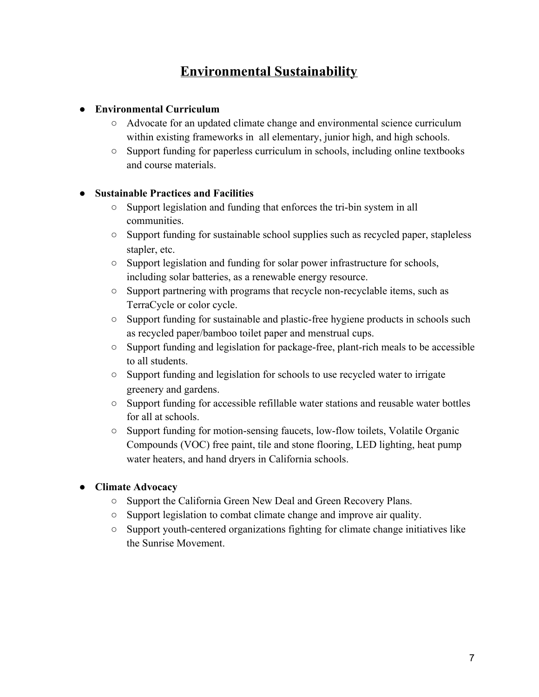## **Environmental Sustainability**

#### **● Environmental Curriculum**

- Advocate for an updated climate change and environmental science curriculum within existing frameworks in all elementary, junior high, and high schools.
- Support funding for paperless curriculum in schools, including online textbooks and course materials.

#### **● Sustainable Practices and Facilities**

- Support legislation and funding that enforces the tri-bin system in all communities.
- Support funding for sustainable school supplies such as recycled paper, stapleless stapler, etc.
- Support legislation and funding for solar power infrastructure for schools, including solar batteries, as a renewable energy resource.
- Support partnering with programs that recycle non-recyclable items, such as TerraCycle or color cycle.
- Support funding for sustainable and plastic-free hygiene products in schools such as recycled paper/bamboo toilet paper and menstrual cups.
- Support funding and legislation for package-free, plant-rich meals to be accessible to all students.
- Support funding and legislation for schools to use recycled water to irrigate greenery and gardens.
- Support funding for accessible refillable water stations and reusable water bottles for all at schools.
- Support funding for motion-sensing faucets, low-flow toilets, Volatile Organic Compounds (VOC) free paint, tile and stone flooring, LED lighting, heat pump water heaters, and hand dryers in California schools.

#### **● Climate Advocacy**

- Support the California Green New Deal and Green Recovery Plans.
- Support legislation to combat climate change and improve air quality.
- Support youth-centered organizations fighting for climate change initiatives like the Sunrise Movement.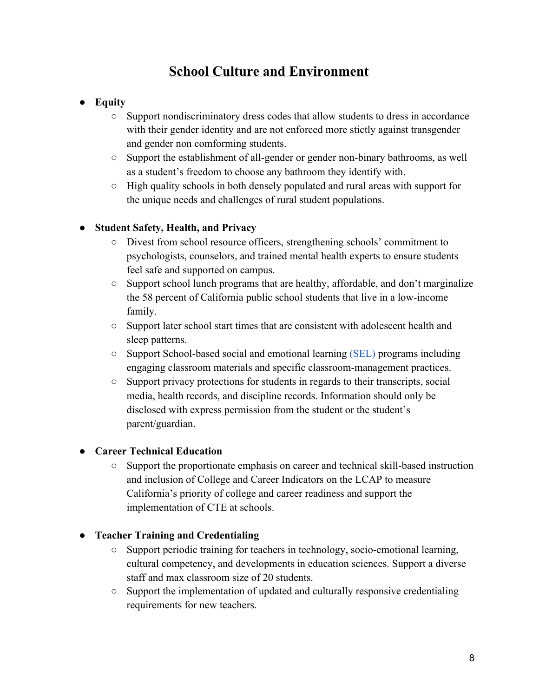## **School Culture and Environment**

#### **● Equity**

- Support nondiscriminatory dress codes that allow students to dress in accordance with their gender identity and are not enforced more stictly against transgender and gender non comforming students.
- Support the establishment of all-gender or gender non-binary bathrooms, as well as a student's freedom to choose any bathroom they identify with.
- High quality schools in both densely populated and rural areas with support for the unique needs and challenges of rural student populations.

#### **● Student Safety, Health, and Privacy**

- Divest from school resource officers, strengthening schools' commitment to psychologists, counselors, and trained mental health experts to ensure students feel safe and supported on campus.
- $\circ$  Support school lunch programs that are healthy, affordable, and don't marginalize the 58 percent of California public school students that live in a low-income family.
- Support later school start times that are consistent with adolescent health and sleep patterns.
- Support School-based social and emotional learning [\(SEL\)](https://casel.org/overview-sel/) programs including engaging classroom materials and specific classroom-management practices.
- Support privacy protections for students in regards to their transcripts, social media, health records, and discipline records. Information should only be disclosed with express permission from the student or the student's parent/guardian.

#### **● Career Technical Education**

○ Support the proportionate emphasis on career and technical skill-based instruction and inclusion of College and Career Indicators on the LCAP to measure California's priority of college and career readiness and support the implementation of CTE at schools.

#### **● Teacher Training and Credentialing**

- Support periodic training for teachers in technology, socio-emotional learning, cultural competency, and developments in education sciences. Support a diverse staff and max classroom size of 20 students.
- Support the implementation of updated and culturally responsive credentialing requirements for new teachers.